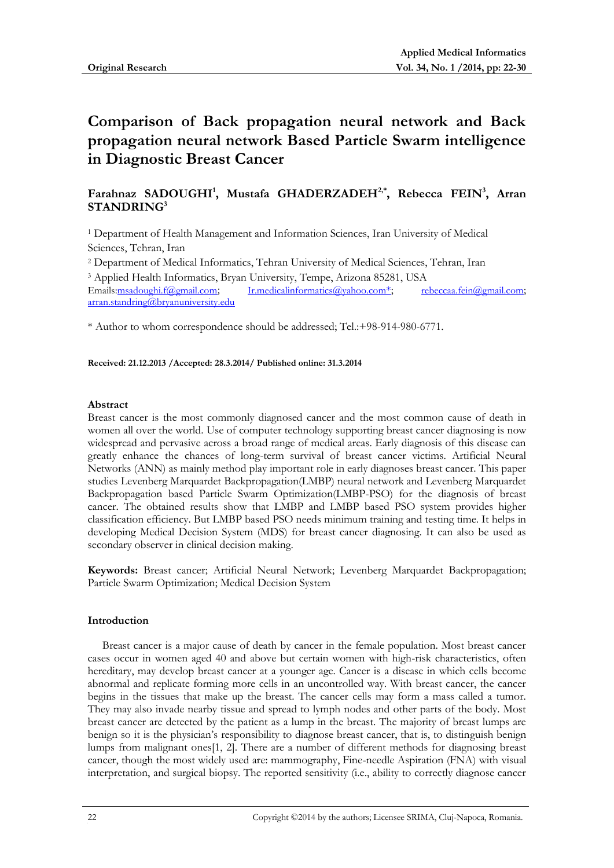# **Comparison of Back propagation neural network and Back propagation neural network Based Particle Swarm intelligence in Diagnostic Breast Cancer**

# **Farahnaz SADOUGHI<sup>1</sup> , Mustafa GHADERZADEH2,\* , Rebecca FEIN<sup>3</sup> , Arran STANDRING<sup>3</sup>**

<sup>1</sup> Department of Health Management and Information Sciences, Iran University of Medical Sciences, Tehran, Iran

<sup>2</sup> Department of Medical Informatics, Tehran University of Medical Sciences, Tehran, Iran <sup>3</sup> Applied Health Informatics, Bryan University, Tempe, Arizona 85281, USA Emails[:msadoughi.f@gmail.com](mailto:msadoughi.f@gmail.com); [Ir.medicalinformatics@yahoo.com](mailto:Ir.medicalinformatics@yahoo.com*)<sup>\*</sup>; [rebeccaa.fein@gmail.com](mailto:rebeccaa.fein@gmail.com);

[arran.standring@bryanuniversity.edu](mailto:arran.standring@bryanuniversity.edu)

\* Author to whom correspondence should be addressed; Tel.:+98-914-980-6771.

**Received: 21.12.2013 /Accepted: 28.3.2014/ Published online: 31.3.2014**

# **Abstract**

Breast cancer is the most commonly diagnosed cancer and the most common cause of death in women all over the world. Use of computer technology supporting breast cancer diagnosing is now widespread and pervasive across a broad range of medical areas. Early diagnosis of this disease can greatly enhance the chances of long-term survival of breast cancer victims. Artificial Neural Networks (ANN) as mainly method play important role in early diagnoses breast cancer. This paper studies Levenberg Marquardet Backpropagation(LMBP) neural network and Levenberg Marquardet Backpropagation based Particle Swarm Optimization(LMBP-PSO) for the diagnosis of breast cancer. The obtained results show that LMBP and LMBP based PSO system provides higher classification efficiency. But LMBP based PSO needs minimum training and testing time. It helps in developing Medical Decision System (MDS) for breast cancer diagnosing. It can also be used as secondary observer in clinical decision making.

**Keywords:** Breast cancer; Artificial Neural Network; Levenberg Marquardet Backpropagation; Particle Swarm Optimization; Medical Decision System

# **Introduction**

Breast cancer is a major cause of death by cancer in the female population. Most breast cancer cases occur in women aged 40 and above but certain women with high-risk characteristics, often hereditary, may develop breast cancer at a younger age. Cancer is a disease in which cells become abnormal and replicate forming more cells in an uncontrolled way. With breast cancer, the cancer begins in the tissues that make up the breast. The cancer cells may form a mass called a tumor. They may also invade nearby tissue and spread to lymph nodes and other parts of the body. Most breast cancer are detected by the patient as a lump in the breast. The majority of breast lumps are benign so it is the physician's responsibility to diagnose breast cancer, that is, to distinguish benign lumps from malignant ones[\[1,](#page-7-0) [2\]](#page-7-1). There are a number of different methods for diagnosing breast cancer, though the most widely used are: mammography, Fine-needle Aspiration (FNA) with visual interpretation, and surgical biopsy. The reported sensitivity (i.e., ability to correctly diagnose cancer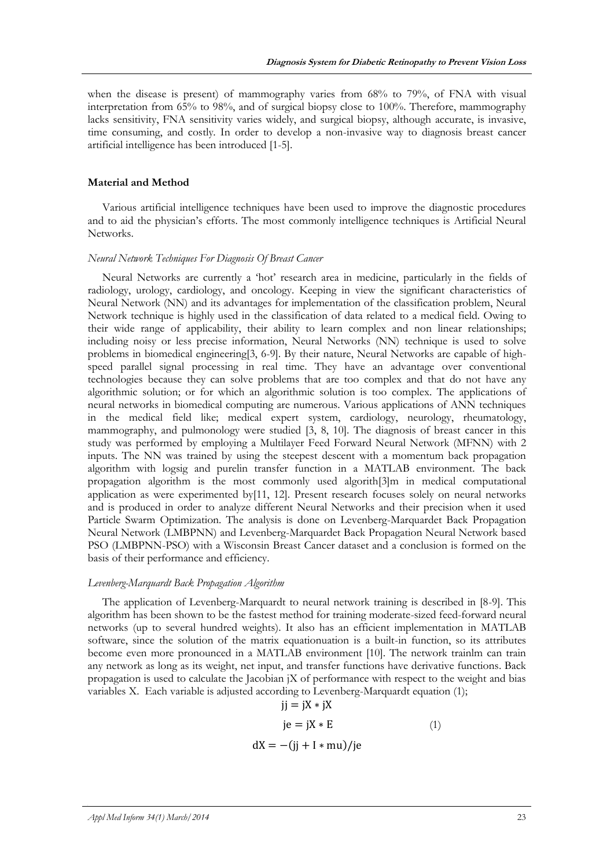when the disease is present) of mammography varies from 68% to 79%, of FNA with visual interpretation from 65% to 98%, and of surgical biopsy close to 100%. Therefore, mammography lacks sensitivity, FNA sensitivity varies widely, and surgical biopsy, although accurate, is invasive, time consuming, and costly. In order to develop a non-invasive way to diagnosis breast cancer artificial intelligence has been introduced [\[1-5\]](#page-7-0).

#### **Material and Method**

Various artificial intelligence techniques have been used to improve the diagnostic procedures and to aid the physician's efforts. The most commonly intelligence techniques is Artificial Neural Networks.

## *Neural Network Techniques For Diagnosis Of Breast Cancer*

Neural Networks are currently a 'hot' research area in medicine, particularly in the fields of radiology, urology, cardiology, and oncology. Keeping in view the significant characteristics of Neural Network (NN) and its advantages for implementation of the classification problem, Neural Network technique is highly used in the classification of data related to a medical field. Owing to their wide range of applicability, their ability to learn complex and non linear relationships; including noisy or less precise information, Neural Networks (NN) technique is used to solve problems in biomedical engineering[\[3,](#page-7-2) [6-9\]](#page-7-3). By their nature, Neural Networks are capable of highspeed parallel signal processing in real time. They have an advantage over conventional technologies because they can solve problems that are too complex and that do not have any algorithmic solution; or for which an algorithmic solution is too complex. The applications of neural networks in biomedical computing are numerous. Various applications of ANN techniques in the medical field like; medical expert system, cardiology, neurology, rheumatology, mammography, and pulmonology were studied [\[3,](#page-7-2) [8,](#page-7-4) [10\]](#page-7-5). The diagnosis of breast cancer in this study was performed by employing a Multilayer Feed Forward Neural Network (MFNN) with 2 inputs. The NN was trained by using the steepest descent with a momentum back propagation algorithm with logsig and purelin transfer function in a MATLAB environment. The back propagation algorithm is the most commonly used algorith[\[3\]](#page-7-2)m in medical computational application as were experimented by[\[11,](#page-7-6) [12\]](#page-7-7). Present research focuses solely on neural networks and is produced in order to analyze different Neural Networks and their precision when it used Particle Swarm Optimization. The analysis is done on Levenberg-Marquardet Back Propagation Neural Network (LMBPNN) and Levenberg-Marquardet Back Propagation Neural Network based PSO (LMBPNN-PSO) with a Wisconsin Breast Cancer dataset and a conclusion is formed on the basis of their performance and efficiency.

## *Levenberg-Marquardt Back Propagation Algorithm*

The application of Levenberg-Marquardt to neural network training is described in [8-9]. This algorithm has been shown to be the fastest method for training moderate-sized feed-forward neural networks (up to several hundred weights). It also has an efficient implementation in MATLAB software, since the solution of the matrix equationuation is a built-in function, so its attributes become even more pronounced in a MATLAB environment [10]. The network trainlm can train any network as long as its weight, net input, and transfer functions have derivative functions. Back propagation is used to calculate the Jacobian jX of performance with respect to the weight and bias variables X. Each variable is adjusted according to Levenberg-Marquardt equation (1);

$$
jj = jX * jX
$$
  
\n
$$
je = jX * E
$$
 (1)  
\n
$$
dX = -(jj + I * mu)/je
$$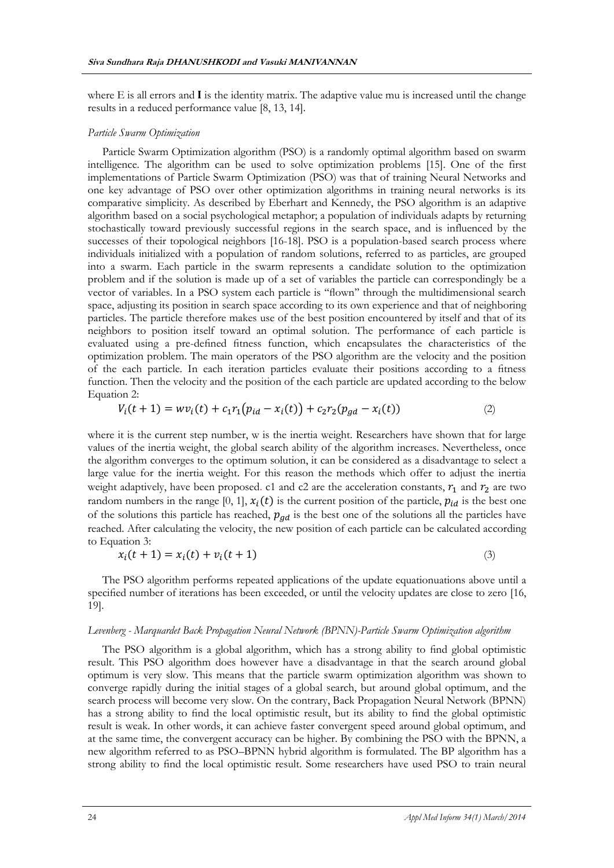where  $E$  is all errors and  $I$  is the identity matrix. The adaptive value mu is increased until the change results in a reduced performance value [\[8,](#page-7-4) [13,](#page-7-8) [14\]](#page-7-9).

#### *Particle Swarm Optimization*

Particle Swarm Optimization algorithm (PSO) is a randomly optimal algorithm based on swarm intelligence. The algorithm can be used to solve optimization problems [\[15\]](#page-8-0). One of the first implementations of Particle Swarm Optimization (PSO) was that of training Neural Networks and one key advantage of PSO over other optimization algorithms in training neural networks is its comparative simplicity. As described by Eberhart and Kennedy, the PSO algorithm is an adaptive algorithm based on a social psychological metaphor; a population of individuals adapts by returning stochastically toward previously successful regions in the search space, and is influenced by the successes of their topological neighbors [\[16-18\]](#page-8-1). PSO is a population-based search process where individuals initialized with a population of random solutions, referred to as particles, are grouped into a swarm. Each particle in the swarm represents a candidate solution to the optimization problem and if the solution is made up of a set of variables the particle can correspondingly be a vector of variables. In a PSO system each particle is ''flown'' through the multidimensional search space, adjusting its position in search space according to its own experience and that of neighboring particles. The particle therefore makes use of the best position encountered by itself and that of its neighbors to position itself toward an optimal solution. The performance of each particle is evaluated using a pre-defined fitness function, which encapsulates the characteristics of the optimization problem. The main operators of the PSO algorithm are the velocity and the position of the each particle. In each iteration particles evaluate their positions according to a fitness function. Then the velocity and the position of the each particle are updated according to the below Equation 2:

$$
V_i(t+1) = w v_i(t) + c_1 r_1 (p_{id} - x_i(t)) + c_2 r_2 (p_{gd} - x_i(t))
$$
\n(2)

where it is the current step number, w is the inertia weight. Researchers have shown that for large values of the inertia weight, the global search ability of the algorithm increases. Nevertheless, once the algorithm converges to the optimum solution, it can be considered as a disadvantage to select a large value for the inertia weight. For this reason the methods which offer to adjust the inertia weight adaptively, have been proposed. c1 and c2 are the acceleration constants,  $r_1$  and  $r_2$  are two random numbers in the range [0, 1],  $x_i(t)$  is the current position of the particle,  $p_{id}$  is the best one of the solutions this particle has reached,  $p_{gd}$  is the best one of the solutions all the particles have reached. After calculating the velocity, the new position of each particle can be calculated according to Equation 3:

$$
x_i(t+1) = x_i(t) + v_i(t+1)
$$
\n(3)

The PSO algorithm performs repeated applications of the update equationuations above until a specified number of iterations has been exceeded, or until the velocity updates are close to zero [\[16,](#page-8-1) [19\]](#page-8-2).

#### *Levenberg - Marquardet Back Propagation Neural Network (BPNN)-Particle Swarm Optimization algorithm*

The PSO algorithm is a global algorithm, which has a strong ability to find global optimistic result. This PSO algorithm does however have a disadvantage in that the search around global optimum is very slow. This means that the particle swarm optimization algorithm was shown to converge rapidly during the initial stages of a global search, but around global optimum, and the search process will become very slow. On the contrary, Back Propagation Neural Network (BPNN) has a strong ability to find the local optimistic result, but its ability to find the global optimistic result is weak. In other words, it can achieve faster convergent speed around global optimum, and at the same time, the convergent accuracy can be higher. By combining the PSO with the BPNN, a new algorithm referred to as PSO–BPNN hybrid algorithm is formulated. The BP algorithm has a strong ability to find the local optimistic result. Some researchers have used PSO to train neural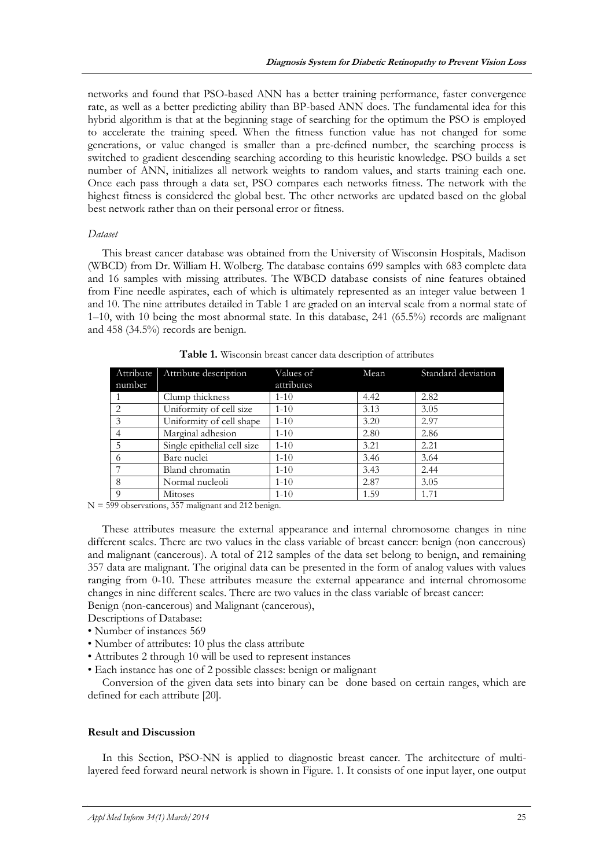networks and found that PSO-based ANN has a better training performance, faster convergence rate, as well as a better predicting ability than BP-based ANN does. The fundamental idea for this hybrid algorithm is that at the beginning stage of searching for the optimum the PSO is employed to accelerate the training speed. When the fitness function value has not changed for some generations, or value changed is smaller than a pre-defined number, the searching process is switched to gradient descending searching according to this heuristic knowledge. PSO builds a set number of ANN, initializes all network weights to random values, and starts training each one. Once each pass through a data set, PSO compares each networks fitness. The network with the highest fitness is considered the global best. The other networks are updated based on the global best network rather than on their personal error or fitness.

## *Dataset*

This breast cancer database was obtained from the University of Wisconsin Hospitals, Madison (WBCD) from Dr. William H. Wolberg. The database contains 699 samples with 683 complete data and 16 samples with missing attributes. The WBCD database consists of nine features obtained from Fine needle aspirates, each of which is ultimately represented as an integer value between 1 and 10. The nine attributes detailed in Table 1 are graded on an interval scale from a normal state of 1–10, with 10 being the most abnormal state. In this database, 241 (65.5%) records are malignant and 458 (34.5%) records are benign.

| number         | Attribute Attribute description | Values of<br>attributes | Mean | Standard deviation |
|----------------|---------------------------------|-------------------------|------|--------------------|
|                | Clump thickness                 | $1 - 10$                | 4.42 | 2.82               |
| 2              | Uniformity of cell size         | $1 - 10$                | 3.13 | 3.05               |
| 3              | Uniformity of cell shape        | $1 - 10$                | 3.20 | 2.97               |
| $\overline{4}$ | Marginal adhesion               | $1 - 10$                | 2.80 | 2.86               |
| 5              | Single epithelial cell size     | $1 - 10$                | 3.21 | 2.21               |
| 6              | Bare nuclei                     | $1 - 10$                | 3.46 | 3.64               |
|                | Bland chromatin                 | $1 - 10$                | 3.43 | 2.44               |
| 8              | Normal nucleoli                 | $1-10$                  | 2.87 | 3.05               |
| $\Omega$       | Mitoses                         | $1 - 10$                | 1.59 | 1.71               |

**Table 1.** Wisconsin breast cancer data description of attributes

N = 599 observations, 357 malignant and 212 benign.

These attributes measure the external appearance and internal chromosome changes in nine different scales. There are two values in the class variable of breast cancer: benign (non cancerous) and malignant (cancerous). A total of 212 samples of the data set belong to benign, and remaining 357 data are malignant. The original data can be presented in the form of analog values with values ranging from 0-10. These attributes measure the external appearance and internal chromosome changes in nine different scales. There are two values in the class variable of breast cancer: Benign (non-cancerous) and Malignant (cancerous),

- Descriptions of Database:
- Number of instances 569
- Number of attributes: 10 plus the class attribute
- Attributes 2 through 10 will be used to represent instances
- Each instance has one of 2 possible classes: benign or malignant

Conversion of the given data sets into binary can be done based on certain ranges, which are defined for each attribute [\[20\]](#page-8-3).

# **Result and Discussion**

In this Section, PSO-NN is applied to diagnostic breast cancer. The architecture of multilayered feed forward neural network is shown in Figure. 1. It consists of one input layer, one output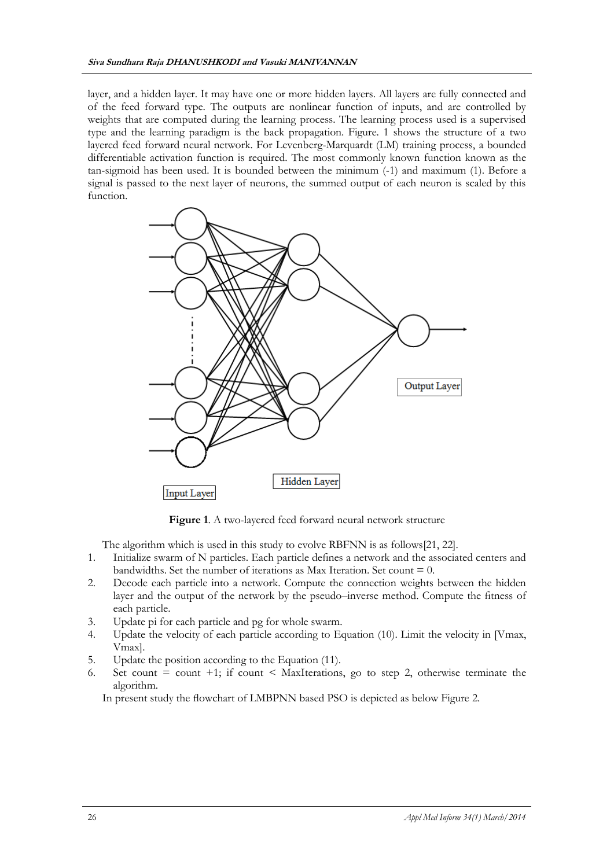layer, and a hidden layer. It may have one or more hidden layers. All layers are fully connected and of the feed forward type. The outputs are nonlinear function of inputs, and are controlled by weights that are computed during the learning process. The learning process used is a supervised type and the learning paradigm is the back propagation. Figure. 1 shows the structure of a two layered feed forward neural network. For Levenberg-Marquardt (LM) training process, a bounded differentiable activation function is required. The most commonly known function known as the tan-sigmoid has been used. It is bounded between the minimum (-1) and maximum (1). Before a signal is passed to the next layer of neurons, the summed output of each neuron is scaled by this function.



**Figure 1**. A two-layered feed forward neural network structure

The algorithm which is used in this study to evolve RBFNN is as follows[\[21,](#page-8-4) [22\]](#page-8-5).

- 1. Initialize swarm of N particles. Each particle defines a network and the associated centers and bandwidths. Set the number of iterations as Max Iteration. Set count  $= 0$ .
- 2. Decode each particle into a network. Compute the connection weights between the hidden layer and the output of the network by the pseudo–inverse method. Compute the fitness of each particle.
- 3. Update pi for each particle and pg for whole swarm.
- 4. Update the velocity of each particle according to Equation (10). Limit the velocity in [Vmax, Vmax].
- 5. Update the position according to the Equation (11).
- 6. Set count  $=$  count  $+1$ ; if count  $\leq$  MaxIterations, go to step 2, otherwise terminate the algorithm.

In present study the flowchart of LMBPNN based PSO is depicted as below Figure 2.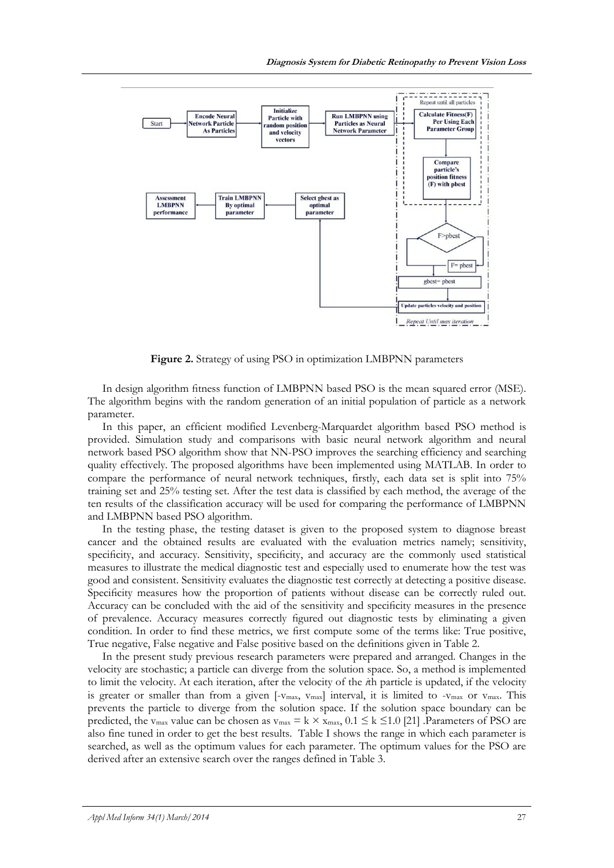

**Figure 2.** Strategy of using PSO in optimization LMBPNN parameters

In design algorithm fitness function of LMBPNN based PSO is the mean squared error (MSE). The algorithm begins with the random generation of an initial population of particle as a network parameter.

In this paper, an efficient modified Levenberg-Marquardet algorithm based PSO method is provided. Simulation study and comparisons with basic neural network algorithm and neural network based PSO algorithm show that NN-PSO improves the searching efficiency and searching quality effectively. The proposed algorithms have been implemented using MATLAB. In order to compare the performance of neural network techniques, firstly, each data set is split into 75% training set and 25% testing set. After the test data is classified by each method, the average of the ten results of the classification accuracy will be used for comparing the performance of LMBPNN and LMBPNN based PSO algorithm.

In the testing phase, the testing dataset is given to the proposed system to diagnose breast cancer and the obtained results are evaluated with the evaluation metrics namely; sensitivity, specificity, and accuracy. Sensitivity, specificity, and accuracy are the commonly used statistical measures to illustrate the medical diagnostic test and especially used to enumerate how the test was good and consistent. Sensitivity evaluates the diagnostic test correctly at detecting a positive disease. Specificity measures how the proportion of patients without disease can be correctly ruled out. Accuracy can be concluded with the aid of the sensitivity and specificity measures in the presence of prevalence. Accuracy measures correctly figured out diagnostic tests by eliminating a given condition. In order to find these metrics, we first compute some of the terms like: True positive, True negative, False negative and False positive based on the definitions given in Table 2.

In the present study previous research parameters were prepared and arranged. Changes in the velocity are stochastic; a particle can diverge from the solution space. So, a method is implemented to limit the velocity. At each iteration, after the velocity of the *i*th particle is updated, if the velocity is greater or smaller than from a given [- $v_{max}$ ,  $v_{max}$ ] interval, it is limited to - $v_{max}$  or  $v_{max}$ . This prevents the particle to diverge from the solution space. If the solution space boundary can be predicted, the v<sub>max</sub> value can be chosen as v<sub>max</sub> = k  $\times$  x<sub>max</sub>, 0.1  $\leq$  k  $\leq$ 1.0 [\[21\]](#page-8-4) .Parameters of PSO are also fine tuned in order to get the best results. Table I shows the range in which each parameter is searched, as well as the optimum values for each parameter. The optimum values for the PSO are derived after an extensive search over the ranges defined in Table 3.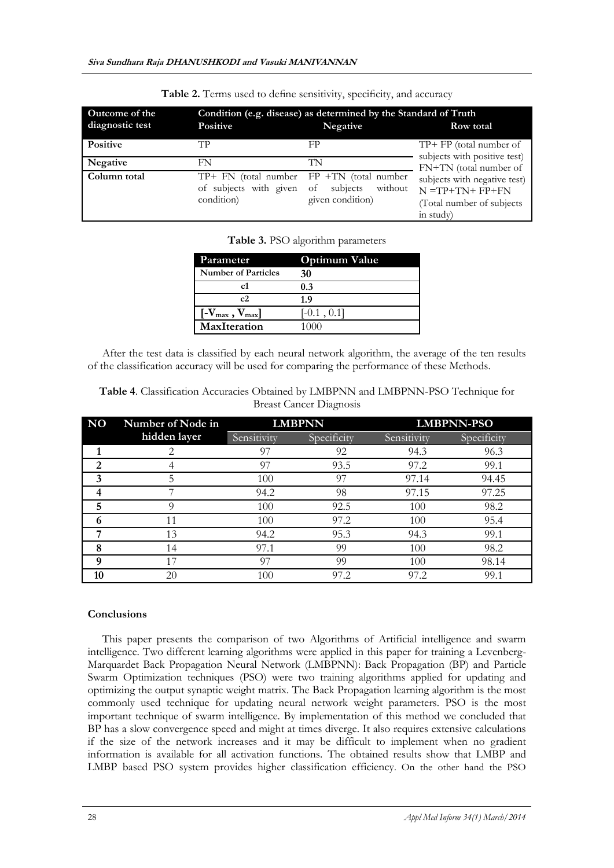| <b>Outcome of the</b><br>diagnostic test | <b>Positive</b>                      | Condition (e.g. disease) as determined by the Standard of Truth<br>Negative                      | Row total                                                                                                                                                    |  |
|------------------------------------------|--------------------------------------|--------------------------------------------------------------------------------------------------|--------------------------------------------------------------------------------------------------------------------------------------------------------------|--|
| <b>Positive</b>                          | TР                                   | FP                                                                                               | $TP+ FP$ (total number of                                                                                                                                    |  |
| <b>Negative</b>                          | FN                                   | TN                                                                                               | subjects with positive test)<br>FN+TN (total number of<br>subjects with negative test)<br>$N = TP + TN + FP + FN$<br>(Total number of subjects)<br>in study) |  |
| Column total                             | of subjects with given<br>condition) | $TP + FN$ (total number $FP + TN$ (total number<br>subjects<br>without<br>of<br>given condition) |                                                                                                                                                              |  |

**Table 2.** Terms used to define sensitivity, specificity, and accuracy

**Table 3.** PSO algorithm parameters

| Parameter                                                | <b>Optimum Value</b> |  |  |
|----------------------------------------------------------|----------------------|--|--|
| <b>Number of Particles</b>                               | 30                   |  |  |
| c1                                                       | 0.3                  |  |  |
| c2                                                       | 1.9                  |  |  |
| $\left[\text{-}V_{\text{max}}\,,\,V_{\text{max}}\right]$ | $[-0.1, 0.1]$        |  |  |
| <b>MaxIteration</b>                                      | ()()()               |  |  |

After the test data is classified by each neural network algorithm, the average of the ten results of the classification accuracy will be used for comparing the performance of these Methods.

| <b>NO</b> | Number of Node in | <b>LMBPNN</b> |             | <b>LMBPNN-PSO</b> |             |
|-----------|-------------------|---------------|-------------|-------------------|-------------|
|           | hidden layer      | Sensitivity   | Specificity | Sensitivity       | Specificity |
|           |                   | 97            | 92          | 94.3              | 96.3        |
| 2         |                   | 97            | 93.5        | 97.2              | 99.1        |
| 3         | 5                 | 100           | 97          | 97.14             | 94.45       |
|           |                   | 94.2          | 98          | 97.15             | 97.25       |
| 5         |                   | 100           | 92.5        | 100               | 98.2        |
| n         | 11                | 100           | 97.2        | 100               | 95.4        |
| −         | 13                | 94.2          | 95.3        | 94.3              | 99.1        |
| 8         | 14                | 97.1          | 99          | 100               | 98.2        |
| q         |                   | 97            | 99          | 100               | 98.14       |
| 10        | 20                | 100           | 97.2        | 97.2              | 99.1        |

**Table 4**. Classification Accuracies Obtained by LMBPNN and LMBPNN-PSO Technique for Breast Cancer Diagnosis

# **Conclusions**

This paper presents the comparison of two Algorithms of Artificial intelligence and swarm intelligence. Two different learning algorithms were applied in this paper for training a Levenberg-Marquardet Back Propagation Neural Network (LMBPNN): Back Propagation (BP) and Particle Swarm Optimization techniques (PSO) were two training algorithms applied for updating and optimizing the output synaptic weight matrix. The Back Propagation learning algorithm is the most commonly used technique for updating neural network weight parameters. PSO is the most important technique of swarm intelligence. By implementation of this method we concluded that BP has a slow convergence speed and might at times diverge. It also requires extensive calculations if the size of the network increases and it may be difficult to implement when no gradient information is available for all activation functions. The obtained results show that LMBP and LMBP based PSO system provides higher classification efficiency. On the other hand the PSO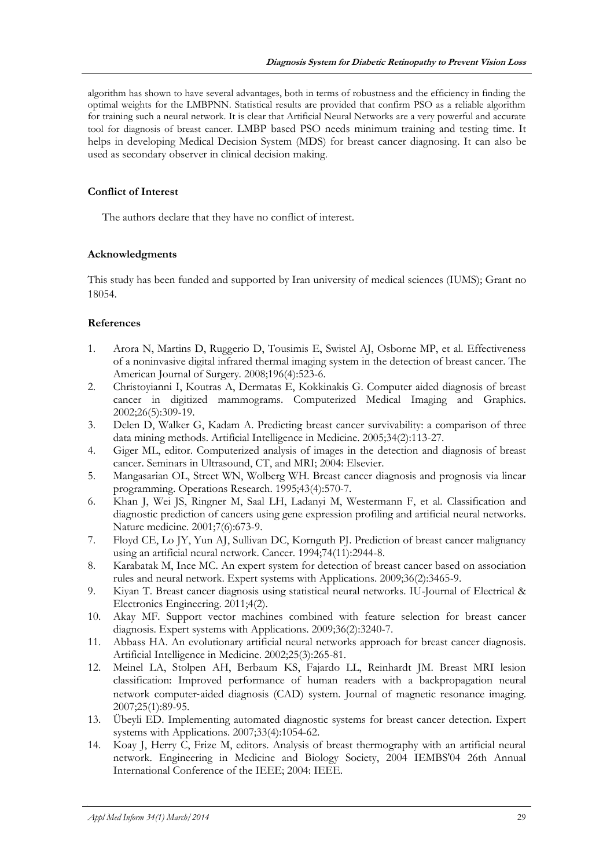algorithm has shown to have several advantages, both in terms of robustness and the efficiency in finding the optimal weights for the LMBPNN. Statistical results are provided that confirm PSO as a reliable algorithm for training such a neural network. It is clear that Artificial Neural Networks are a very powerful and accurate tool for diagnosis of breast cancer. LMBP based PSO needs minimum training and testing time. It helps in developing Medical Decision System (MDS) for breast cancer diagnosing. It can also be used as secondary observer in clinical decision making.

# **Conflict of Interest**

The authors declare that they have no conflict of interest.

# **Acknowledgments**

This study has been funded and supported by Iran university of medical sciences (IUMS); Grant no 18054.

# **References**

- <span id="page-7-0"></span>1. Arora N, Martins D, Ruggerio D, Tousimis E, Swistel AJ, Osborne MP, et al. Effectiveness of a noninvasive digital infrared thermal imaging system in the detection of breast cancer. The American Journal of Surgery. 2008;196(4):523-6.
- <span id="page-7-1"></span>2. Christoyianni I, Koutras A, Dermatas E, Kokkinakis G. Computer aided diagnosis of breast cancer in digitized mammograms. Computerized Medical Imaging and Graphics. 2002;26(5):309-19.
- <span id="page-7-2"></span>3. Delen D, Walker G, Kadam A. Predicting breast cancer survivability: a comparison of three data mining methods. Artificial Intelligence in Medicine. 2005;34(2):113-27.
- 4. Giger ML, editor. Computerized analysis of images in the detection and diagnosis of breast cancer. Seminars in Ultrasound, CT, and MRI; 2004: Elsevier.
- 5. Mangasarian OL, Street WN, Wolberg WH. Breast cancer diagnosis and prognosis via linear programming. Operations Research. 1995;43(4):570-7.
- <span id="page-7-3"></span>6. Khan J, Wei JS, Ringner M, Saal LH, Ladanyi M, Westermann F, et al. Classification and diagnostic prediction of cancers using gene expression profiling and artificial neural networks. Nature medicine. 2001;7(6):673-9.
- 7. Floyd CE, Lo JY, Yun AJ, Sullivan DC, Kornguth PJ. Prediction of breast cancer malignancy using an artificial neural network. Cancer. 1994;74(11):2944-8.
- <span id="page-7-4"></span>8. Karabatak M, Ince MC. An expert system for detection of breast cancer based on association rules and neural network. Expert systems with Applications. 2009;36(2):3465-9.
- 9. Kiyan T. Breast cancer diagnosis using statistical neural networks. IU-Journal of Electrical & Electronics Engineering. 2011;4(2).
- <span id="page-7-5"></span>10. Akay MF. Support vector machines combined with feature selection for breast cancer diagnosis. Expert systems with Applications. 2009;36(2):3240-7.
- <span id="page-7-6"></span>11. Abbass HA. An evolutionary artificial neural networks approach for breast cancer diagnosis. Artificial Intelligence in Medicine. 2002;25(3):265-81.
- <span id="page-7-7"></span>12. Meinel LA, Stolpen AH, Berbaum KS, Fajardo LL, Reinhardt JM. Breast MRI lesion classification: Improved performance of human readers with a backpropagation neural network computer-aided diagnosis (CAD) system. Journal of magnetic resonance imaging. 2007;25(1):89-95.
- <span id="page-7-8"></span>13. Übeyli ED. Implementing automated diagnostic systems for breast cancer detection. Expert systems with Applications. 2007;33(4):1054-62.
- <span id="page-7-9"></span>14. Koay J, Herry C, Frize M, editors. Analysis of breast thermography with an artificial neural network. Engineering in Medicine and Biology Society, 2004 IEMBS'04 26th Annual International Conference of the IEEE; 2004: IEEE.